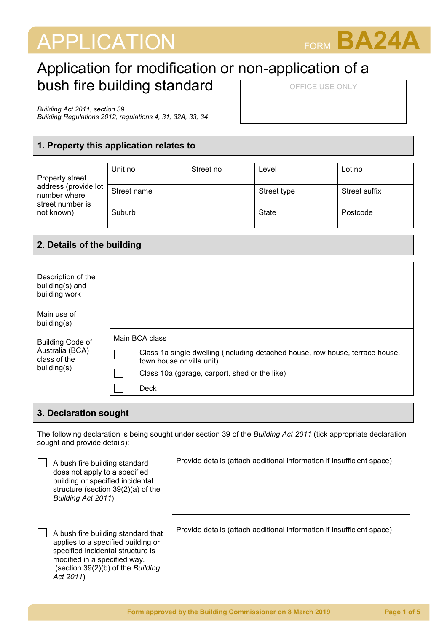# APPLICATION FORM **BA24A**



## Application for modification or non-application of a bush fire building standard OFFICE USE ONLY

*Building Act 2011, section 39*

*Building Regulations 2012, regulations 4, 31, 32A, 33, 34*

#### **1. Property this application relates to**

| Property street<br>address (provide lot<br>number where<br>street number is<br>not known) | Unit no     | Street no | Level       | Lot no        |
|-------------------------------------------------------------------------------------------|-------------|-----------|-------------|---------------|
|                                                                                           | Street name |           | Street type | Street suffix |
|                                                                                           | Suburb      |           | State       | Postcode      |

#### **2. Details of the building**

| Description of the<br>building(s) and<br>building work                    |                                                                                                            |
|---------------------------------------------------------------------------|------------------------------------------------------------------------------------------------------------|
| Main use of<br>building(s)                                                |                                                                                                            |
| <b>Building Code of</b><br>Australia (BCA)<br>class of the<br>building(s) | Main BCA class                                                                                             |
|                                                                           | Class 1a single dwelling (including detached house, row house, terrace house,<br>town house or villa unit) |
|                                                                           | Class 10a (garage, carport, shed or the like)                                                              |
|                                                                           | Deck                                                                                                       |

#### **3. Declaration sought**

The following declaration is being sought under section 39 of the *Building Act 2011* (tick appropriate declaration sought and provide details):

| A bush fire building standard<br>does not apply to a specified<br>building or specified incidental<br>structure (section $39(2)(a)$ of the<br>Building Act 2011)                                | Provide details (attach additional information if insufficient space) |
|-------------------------------------------------------------------------------------------------------------------------------------------------------------------------------------------------|-----------------------------------------------------------------------|
| A bush fire building standard that<br>applies to a specified building or<br>specified incidental structure is<br>modified in a specified way.<br>(section 39(2)(b) of the Building<br>Act 2011) | Provide details (attach additional information if insufficient space) |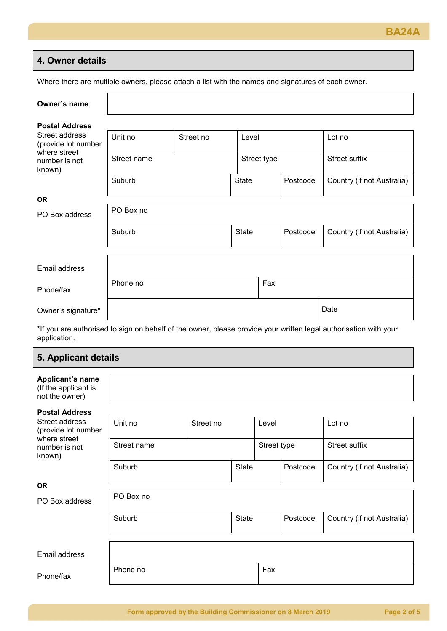#### **4. Owner details**

Where there are multiple owners, please attach a list with the names and signatures of each owner.

| Owner's name                                                   |             |           |              |             |          |                            |
|----------------------------------------------------------------|-------------|-----------|--------------|-------------|----------|----------------------------|
| <b>Postal Address</b><br>Street address<br>(provide lot number | Unit no     | Street no | Level        |             |          | Lot no                     |
| where street<br>number is not<br>known)                        | Street name |           |              | Street type |          | Street suffix              |
|                                                                | Suburb      |           | <b>State</b> | Postcode    |          | Country (if not Australia) |
| <b>OR</b>                                                      |             |           |              |             |          |                            |
| PO Box address                                                 | PO Box no   |           |              |             |          |                            |
|                                                                | Suburb      |           | <b>State</b> |             | Postcode | Country (if not Australia) |
|                                                                |             |           |              |             |          |                            |
| Email address                                                  |             |           |              |             |          |                            |
| Phone/fax                                                      | Phone no    |           |              | Fax         |          |                            |
| Owner's signature*                                             |             |           |              |             |          | Date                       |

\*If you are authorised to sign on behalf of the owner, please provide your written legal authorisation with your application.

### **5. Applicant details**

| Applicant's name<br>(If the applicant is<br>not the owner)                       |                      |  |              |             |          |                            |
|----------------------------------------------------------------------------------|----------------------|--|--------------|-------------|----------|----------------------------|
| <b>Postal Address</b>                                                            |                      |  |              |             |          |                            |
| Street address<br>(provide lot number<br>where street<br>number is not<br>known) | Unit no<br>Street no |  |              | Level       |          | Lot no                     |
|                                                                                  | Street name          |  |              | Street type |          | Street suffix              |
|                                                                                  | Suburb               |  | <b>State</b> |             | Postcode | Country (if not Australia) |
| <b>OR</b>                                                                        |                      |  |              |             |          |                            |
| PO Box address                                                                   | PO Box no            |  |              |             |          |                            |
|                                                                                  | Suburb               |  | <b>State</b> |             | Postcode | Country (if not Australia) |
|                                                                                  |                      |  |              |             |          |                            |
| Email address                                                                    |                      |  |              |             |          |                            |
|                                                                                  | Phone no             |  |              | Fax         |          |                            |

Phone/fax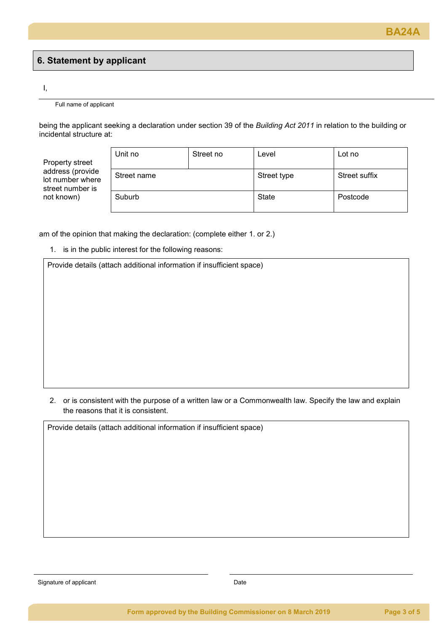#### **6. Statement by applicant**

I,

Full name of applicant

being the applicant seeking a declaration under section 39 of the *Building Act 2011* in relation to the building or incidental structure at:

Property street address (provide lot number where street number is not known)

| Unit no     | Street no | Level        | Lot no        |
|-------------|-----------|--------------|---------------|
| Street name |           | Street type  | Street suffix |
| Suburb      |           | <b>State</b> | Postcode      |

am of the opinion that making the declaration: (complete either 1. or 2.)

1. is in the public interest for the following reasons:

Provide details (attach additional information if insufficient space)

2. or is consistent with the purpose of a written law or a Commonwealth law. Specify the law and explain the reasons that it is consistent.

Provide details (attach additional information if insufficient space)

Signature of applicant **Date**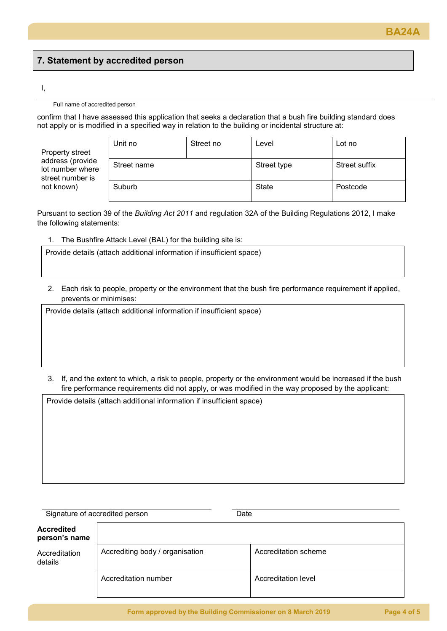## **7. Statement by accredited person**

#### I,

#### Full name of accredited person

confirm that I have assessed this application that seeks a declaration that a bush fire building standard does not apply or is modified in a specified way in relation to the building or incidental structure at:

Property street address (provide lot number where street number is not known)

| Unit no     | Street no | Level                        | Lot no   |
|-------------|-----------|------------------------------|----------|
| Street name |           | Street suffix<br>Street type |          |
| Suburb      |           | State                        | Postcode |

Pursuant to section 39 of the *Building Act 2011* and regulation 32A of the Building Regulations 2012, I make the following statements:

1. The Bushfire Attack Level (BAL) for the building site is:

Provide details (attach additional information if insufficient space)

2. Each risk to people, property or the environment that the bush fire performance requirement if applied, prevents or minimises:

Provide details (attach additional information if insufficient space)

3. If, and the extent to which, a risk to people, property or the environment would be increased if the bush fire performance requirements did not apply, or was modified in the way proposed by the applicant:

Provide details (attach additional information if insufficient space)

| Signature of accredited person     |                                 | Date                 |  |  |
|------------------------------------|---------------------------------|----------------------|--|--|
| <b>Accredited</b><br>person's name |                                 |                      |  |  |
| Accreditation<br>details           | Accrediting body / organisation | Accreditation scheme |  |  |
|                                    | Accreditation number            | Accreditation level  |  |  |